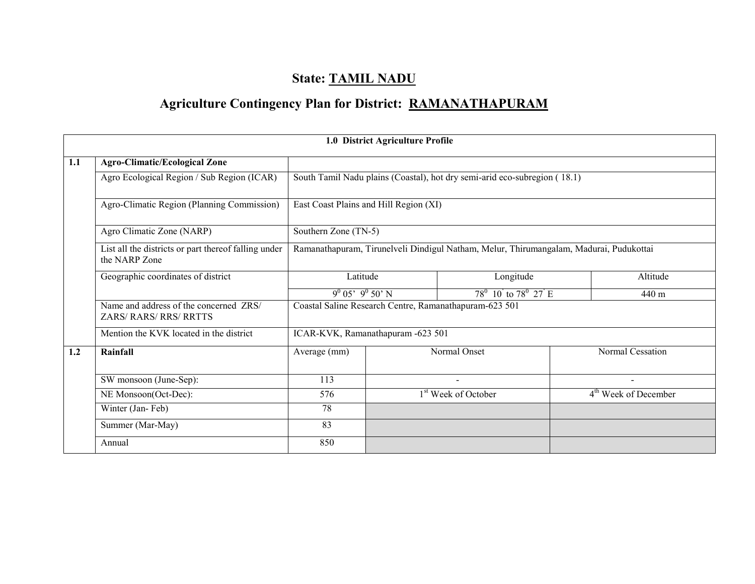# State: TAMIL NADU

# Agriculture Contingency Plan for District: RAMANATHAPURAM

|     |                                                                       |                                                                                        | 1.0 District Agriculture Profile |                                                                           |  |                                  |  |  |
|-----|-----------------------------------------------------------------------|----------------------------------------------------------------------------------------|----------------------------------|---------------------------------------------------------------------------|--|----------------------------------|--|--|
| 1.1 | <b>Agro-Climatic/Ecological Zone</b>                                  |                                                                                        |                                  |                                                                           |  |                                  |  |  |
|     | Agro Ecological Region / Sub Region (ICAR)                            |                                                                                        |                                  | South Tamil Nadu plains (Coastal), hot dry semi-arid eco-subregion (18.1) |  |                                  |  |  |
|     | Agro-Climatic Region (Planning Commission)                            | East Coast Plains and Hill Region (XI)                                                 |                                  |                                                                           |  |                                  |  |  |
|     | Agro Climatic Zone (NARP)                                             | Southern Zone (TN-5)                                                                   |                                  |                                                                           |  |                                  |  |  |
|     | List all the districts or part thereof falling under<br>the NARP Zone | Ramanathapuram, Tirunelveli Dindigul Natham, Melur, Thirumangalam, Madurai, Pudukottai |                                  |                                                                           |  |                                  |  |  |
|     | Geographic coordinates of district                                    | Latitude                                                                               |                                  | Longitude                                                                 |  | Altitude                         |  |  |
|     |                                                                       | $9^0$ 05' $9^0$ 50' N                                                                  |                                  | $78^0$ 10 to $78^0$ 27 E                                                  |  | 440 <sub>m</sub>                 |  |  |
|     | Name and address of the concerned ZRS/<br><b>ZARS/RARS/RRS/RRTTS</b>  |                                                                                        |                                  | Coastal Saline Research Centre, Ramanathapuram-623 501                    |  |                                  |  |  |
|     | Mention the KVK located in the district                               | ICAR-KVK, Ramanathapuram -623 501                                                      |                                  |                                                                           |  |                                  |  |  |
| 1.2 | Rainfall                                                              | Average (mm)                                                                           |                                  | Normal Onset                                                              |  | Normal Cessation                 |  |  |
|     | SW monsoon (June-Sep):                                                | 113                                                                                    |                                  | $\blacksquare$                                                            |  |                                  |  |  |
|     | NE Monsoon(Oct-Dec):                                                  | 576                                                                                    |                                  | 1 <sup>st</sup> Week of October                                           |  | 4 <sup>th</sup> Week of December |  |  |
|     | Winter (Jan-Feb)                                                      | 78                                                                                     |                                  |                                                                           |  |                                  |  |  |
|     | Summer (Mar-May)                                                      | 83                                                                                     |                                  |                                                                           |  |                                  |  |  |
|     | Annual                                                                | 850                                                                                    |                                  |                                                                           |  |                                  |  |  |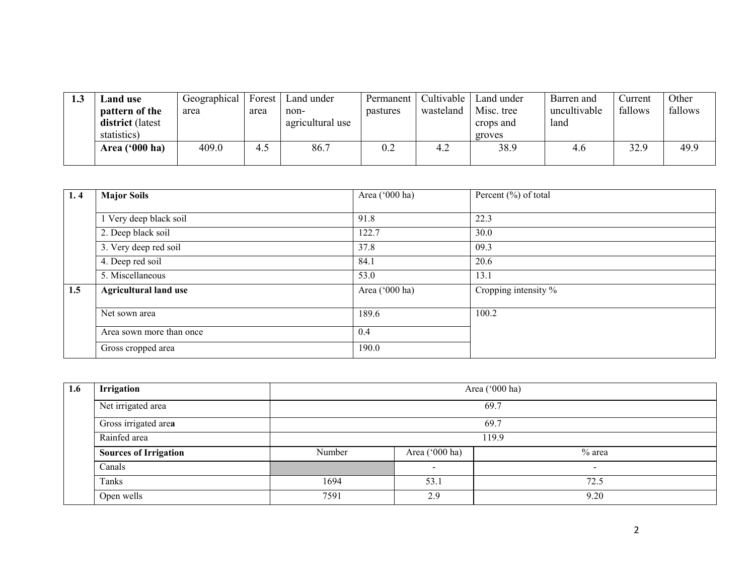| 1.J | ∟and use                | Geographical | Forest | Land under       | Permanent | Cultivable | Land under | Barren and   | Current | Other   |
|-----|-------------------------|--------------|--------|------------------|-----------|------------|------------|--------------|---------|---------|
|     | pattern of the          | area         | area   | non-             | pastures  | wasteland  | Misc. tree | uncultivable | fallows | fallows |
|     | <b>district</b> (latest |              |        | agricultural use |           |            | crops and  | land         |         |         |
|     | statistics)             |              |        |                  |           |            | groves     |              |         |         |
|     | Area ('000 ha)          | 409.0        | 4.5    | 86.7             | 0.2       | 4.2        | 38.9       | 4.6          | 32.9    | 49.9    |
|     |                         |              |        |                  |           |            |            |              |         |         |

| 1.4 | <b>Major Soils</b>           | Area ('000 ha) | Percent (%) of total             |
|-----|------------------------------|----------------|----------------------------------|
|     |                              |                |                                  |
|     | Very deep black soil         | 91.8           | 22.3                             |
|     | 2. Deep black soil           | 122.7          | 30.0                             |
|     | 3. Very deep red soil        | 37.8           | 09.3                             |
|     | 4. Deep red soil             | 84.1           | 20.6                             |
|     | 5. Miscellaneous             | 53.0           | 13.1                             |
| 1.5 | <b>Agricultural land use</b> | Area ('000 ha) | Cropping intensity $\frac{9}{6}$ |
|     |                              |                |                                  |
|     | Net sown area                | 189.6          | 100.2                            |
|     | Area sown more than once     | 0.4            |                                  |
|     | Gross cropped area           | 190.0          |                                  |

| 1.6 | Irrigation                   |        | Area ('000 ha) |                          |  |  |  |  |  |
|-----|------------------------------|--------|----------------|--------------------------|--|--|--|--|--|
|     | Net irrigated area           |        | 69.7           |                          |  |  |  |  |  |
|     | Gross irrigated area         |        | 69.7           |                          |  |  |  |  |  |
|     | Rainfed area                 |        | 119.9          |                          |  |  |  |  |  |
|     | <b>Sources of Irrigation</b> | Number | Area ('000 ha) | $%$ area                 |  |  |  |  |  |
|     | Canals                       |        | -              | $\overline{\phantom{0}}$ |  |  |  |  |  |
|     | Tanks                        | 1694   | 53.1           | 72.5                     |  |  |  |  |  |
|     | Open wells                   | 7591   | 2.9            | 9.20                     |  |  |  |  |  |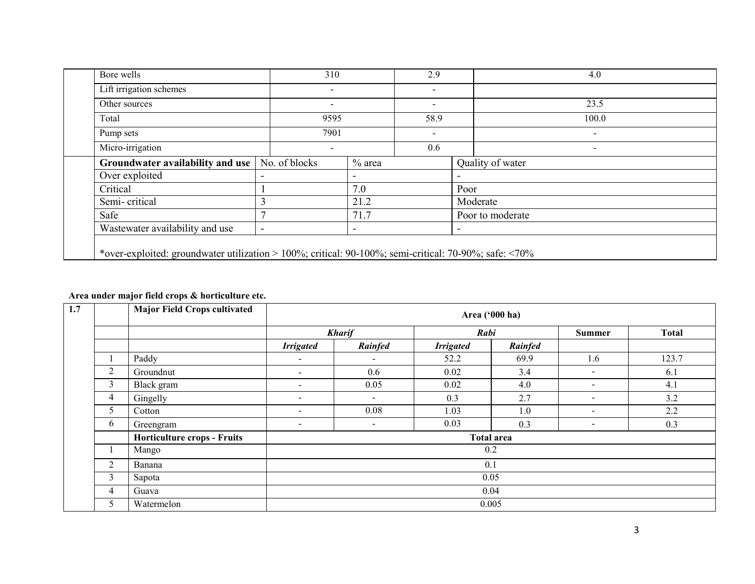| Bore wells                       | 310                      |                          | 2.9                                                          |                          | 4.0                      |  |
|----------------------------------|--------------------------|--------------------------|--------------------------------------------------------------|--------------------------|--------------------------|--|
| Lift irrigation schemes          | Ξ.                       |                          | $\overline{\phantom{a}}$<br>$\overline{\phantom{a}}$<br>58.9 |                          |                          |  |
| Other sources                    | -                        |                          |                                                              |                          | 23.5<br>100.0            |  |
| Total                            | 9595                     |                          |                                                              |                          |                          |  |
| Pump sets                        | 7901                     |                          | $\overline{\phantom{a}}$                                     |                          | -                        |  |
| Micro-irrigation                 | -                        |                          |                                                              |                          | $\overline{\phantom{0}}$ |  |
| Groundwater availability and use | No. of blocks            | $\%$ area                |                                                              |                          | Quality of water         |  |
| Over exploited                   | $\overline{\phantom{0}}$ | $\overline{\phantom{a}}$ |                                                              | $\overline{\phantom{a}}$ |                          |  |
| Critical                         |                          | 7.0                      |                                                              | Poor                     |                          |  |
| Semi-critical                    |                          | 21.2                     |                                                              |                          | Moderate                 |  |
| Safe                             |                          | 71.7                     |                                                              |                          | Poor to moderate         |  |
| Wastewater availability and use  | ٠                        | $\overline{\phantom{0}}$ |                                                              | $\overline{\phantom{0}}$ |                          |  |

#### Area under major field crops & horticulture etc.

| 1.7 |   | <b>Major Field Crops cultivated</b> | Area ('000 ha)           |                          |                  |                   |                          |              |  |  |
|-----|---|-------------------------------------|--------------------------|--------------------------|------------------|-------------------|--------------------------|--------------|--|--|
|     |   |                                     |                          | <b>Kharif</b>            | Rabi             |                   | <b>Summer</b>            | <b>Total</b> |  |  |
|     |   |                                     | <b>Irrigated</b>         | Rainfed                  | <b>Irrigated</b> | Rainfed           |                          |              |  |  |
|     |   | Paddy                               | $\sim$                   | $\blacksquare$           | 52.2             | 69.9              | 1.6                      | 123.7        |  |  |
|     | 2 | Groundnut                           | $\overline{\phantom{a}}$ | 0.6                      | 0.02             | 3.4               |                          | 6.1          |  |  |
|     | 3 | Black gram                          | $\overline{\phantom{a}}$ | 0.05                     | 0.02             | 4.0               | ۰.                       | 4.1          |  |  |
|     | 4 | Gingelly                            | $\,$                     | $\overline{\phantom{a}}$ | 0.3              | 2.7               | $\overline{\phantom{a}}$ | 3.2          |  |  |
|     | 5 | Cotton                              | $\blacksquare$           | 0.08                     | 1.03             | 1.0               | $\overline{\phantom{0}}$ | 2.2          |  |  |
|     | 6 | Greengram                           | $\,$                     |                          | 0.03             | 0.3               | $\,$                     | 0.3          |  |  |
|     |   | Horticulture crops - Fruits         |                          |                          |                  | <b>Total area</b> |                          |              |  |  |
|     |   | Mango                               |                          |                          |                  | 0.2               |                          |              |  |  |
|     | 2 | Banana                              |                          |                          |                  | 0.1               |                          |              |  |  |
|     | 3 | Sapota                              |                          |                          |                  | 0.05              |                          |              |  |  |
|     | 4 | Guava                               | 0.04                     |                          |                  |                   |                          |              |  |  |
|     | 5 | Watermelon                          |                          |                          |                  | 0.005             |                          |              |  |  |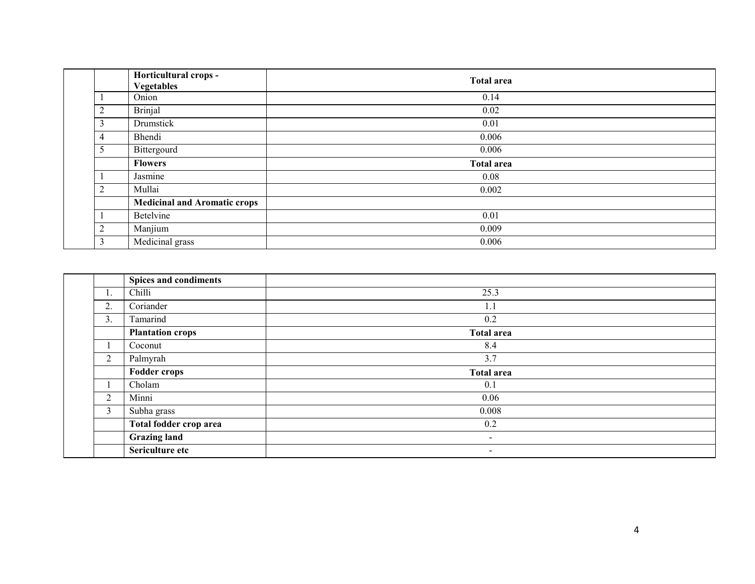|                | Horticultural crops -<br><b>Vegetables</b> | <b>Total area</b> |
|----------------|--------------------------------------------|-------------------|
|                | Onion                                      | 0.14              |
| $\overline{2}$ | <b>Brinjal</b>                             | 0.02              |
| 3              | Drumstick                                  | 0.01              |
| 4              | Bhendi                                     | 0.006             |
| 5              | Bittergourd                                | 0.006             |
|                | <b>Flowers</b>                             | <b>Total area</b> |
|                | Jasmine                                    | 0.08              |
| $\overline{2}$ | Mullai                                     | 0.002             |
|                | <b>Medicinal and Aromatic crops</b>        |                   |
|                | Betelvine                                  | 0.01              |
| 2              | Manjium                                    | 0.009             |
| 3              | Medicinal grass                            | 0.006             |

|                | Spices and condiments   |                          |
|----------------|-------------------------|--------------------------|
| ı.             | Chilli                  | 25.3                     |
| 2.             | Coriander               | 1.1                      |
| 3.             | Tamarind                | 0.2                      |
|                | <b>Plantation crops</b> | <b>Total area</b>        |
|                | Coconut                 | 8.4                      |
| $\overline{2}$ | Palmyrah                | 3.7                      |
|                |                         |                          |
|                | <b>Fodder crops</b>     | <b>Total area</b>        |
|                | Cholam                  | 0.1                      |
| 2              | Minni                   | 0.06                     |
| 3              | Subha grass             | 0.008                    |
|                | Total fodder crop area  | 0.2                      |
|                | <b>Grazing land</b>     | $\overline{\phantom{a}}$ |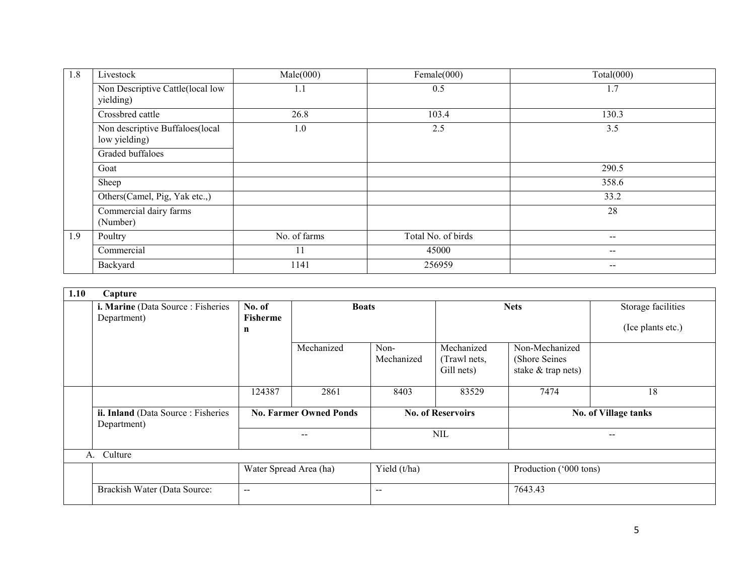| 1.8 | Livestock                                        | Male(000)    | Female(000)        | Total(000)               |
|-----|--------------------------------------------------|--------------|--------------------|--------------------------|
|     | Non Descriptive Cattle(local low<br>yielding)    | 1.1          | 0.5                | 1.7                      |
|     | Crossbred cattle                                 | 26.8         | 103.4              | 130.3                    |
|     | Non descriptive Buffaloes(local<br>low yielding) | 1.0          | 2.5                | 3.5                      |
|     | Graded buffaloes                                 |              |                    |                          |
|     | Goat                                             |              |                    | 290.5                    |
|     | Sheep                                            |              |                    | 358.6                    |
|     | Others(Camel, Pig, Yak etc.,)                    |              |                    | 33.2                     |
|     | Commercial dairy farms<br>(Number)               |              |                    | 28                       |
| 1.9 | Poultry                                          | No. of farms | Total No. of birds | $\overline{\phantom{a}}$ |
|     | Commercial                                       | 11           | 45000              | $\qquad \qquad \cdots$   |
|     | Backyard                                         | 1141         | 256959             | $\qquad \qquad \cdots$   |

| 1.10 | Capture                                           |                        |                               |                          |                            |                                  |                        |  |  |  |
|------|---------------------------------------------------|------------------------|-------------------------------|--------------------------|----------------------------|----------------------------------|------------------------|--|--|--|
|      | i. Marine (Data Source: Fisheries)                | No. of                 | <b>Boats</b>                  |                          |                            | <b>Nets</b>                      | Storage facilities     |  |  |  |
|      | Department)                                       | <b>Fisherme</b>        |                               |                          |                            |                                  |                        |  |  |  |
|      |                                                   | n                      |                               |                          |                            |                                  | (Ice plants etc.)      |  |  |  |
|      |                                                   |                        | Mechanized                    | Non-<br>Mechanized       | Mechanized<br>(Trawl nets, | Non-Mechanized<br>(Shore Seines) |                        |  |  |  |
|      |                                                   |                        |                               |                          | Gill nets)                 | stake & trap nets)               |                        |  |  |  |
|      |                                                   | 124387                 | 2861                          | 8403                     | 83529                      | 7474                             | 18                     |  |  |  |
|      | ii. Inland (Data Source: Fisheries<br>Department) |                        | <b>No. Farmer Owned Ponds</b> | <b>No. of Reservoirs</b> |                            |                                  | No. of Village tanks   |  |  |  |
|      |                                                   |                        |                               |                          | $\text{NIL}$               |                                  |                        |  |  |  |
| A.   | Culture                                           |                        |                               |                          |                            |                                  |                        |  |  |  |
|      |                                                   | Water Spread Area (ha) |                               | Yield (t/ha)             |                            |                                  | Production ('000 tons) |  |  |  |
|      | Brackish Water (Data Source:                      | $\sim$ $\sim$          |                               | $- -$                    |                            |                                  | 7643.43                |  |  |  |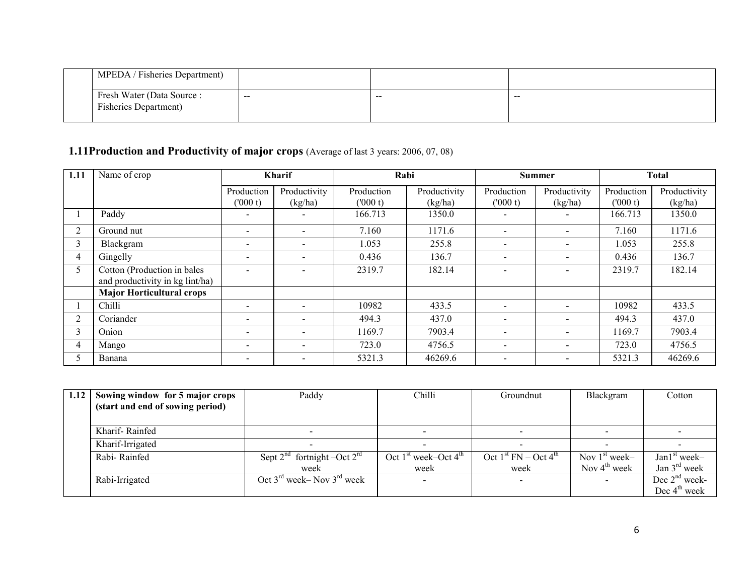| MPEDA / Fisheries Department) |                          |       |                 |
|-------------------------------|--------------------------|-------|-----------------|
| Fresh Water (Data Source :    | $\overline{\phantom{m}}$ |       | $\qquad \qquad$ |
| <b>Fisheries Department</b> ) |                          | $- -$ |                 |

#### 1.11Production and Productivity of major crops (Average of last 3 years: 2006, 07, 08)

| 1.11           | Name of crop                                                   | <b>Kharif</b>            |                          | Rabi                  |                         | Summer                   |                          | <b>Total</b>          |                         |
|----------------|----------------------------------------------------------------|--------------------------|--------------------------|-----------------------|-------------------------|--------------------------|--------------------------|-----------------------|-------------------------|
|                |                                                                | Production<br>(000 t)    | Productivity<br>(kg/ha)  | Production<br>(000 t) | Productivity<br>(kg/ha) | Production<br>(000 t)    | Productivity<br>(kg/ha)  | Production<br>(000 t) | Productivity<br>(kg/ha) |
|                | Paddy                                                          |                          |                          | 166.713               | 1350.0                  | $\qquad \qquad$          |                          | 166.713               | 1350.0                  |
| $\overline{2}$ | Ground nut                                                     | $\overline{\phantom{a}}$ | $\,$                     | 7.160                 | 1171.6                  | $\overline{\phantom{a}}$ |                          | 7.160                 | 1171.6                  |
| 3              | Blackgram                                                      |                          | $\overline{\phantom{0}}$ | 1.053                 | 255.8                   | $\overline{\phantom{a}}$ |                          | 1.053                 | 255.8                   |
| 4              | Gingelly                                                       | $\overline{\phantom{a}}$ | $\overline{\phantom{0}}$ | 0.436                 | 136.7                   | $\overline{\phantom{a}}$ |                          | 0.436                 | 136.7                   |
| 5              | Cotton (Production in bales<br>and productivity in kg lint/ha) |                          | $\overline{\phantom{0}}$ | 2319.7                | 182.14                  | $\overline{\phantom{a}}$ |                          | 2319.7                | 182.14                  |
|                | <b>Major Horticultural crops</b>                               |                          |                          |                       |                         |                          |                          |                       |                         |
|                | Chilli                                                         | $\overline{\phantom{0}}$ | $\overline{\phantom{0}}$ | 10982                 | 433.5                   | $\overline{\phantom{a}}$ |                          | 10982                 | 433.5                   |
| $\overline{2}$ | Coriander                                                      | $\overline{\phantom{a}}$ | $\overline{\phantom{0}}$ | 494.3                 | 437.0                   | $\blacksquare$           | $\overline{\phantom{a}}$ | 494.3                 | 437.0                   |
| 3              | Onion                                                          | $\overline{\phantom{a}}$ | $\overline{\phantom{0}}$ | 1169.7                | 7903.4                  | $\overline{\phantom{a}}$ |                          | 1169.7                | 7903.4                  |
| 4              | Mango                                                          |                          | $\overline{\phantom{0}}$ | 723.0                 | 4756.5                  | $\overline{\phantom{a}}$ |                          | 723.0                 | 4756.5                  |
|                | Banana                                                         |                          | $\overline{\phantom{0}}$ | 5321.3                | 46269.6                 | $\overline{\phantom{a}}$ |                          | 5321.3                | 46269.6                 |

| 1.12 | Sowing window for 5 major crops  | Paddy                                 | Chilli                 | Groundnut              | Blackgram                | Cotton                   |
|------|----------------------------------|---------------------------------------|------------------------|------------------------|--------------------------|--------------------------|
|      | (start and end of sowing period) |                                       |                        |                        |                          |                          |
|      |                                  |                                       |                        |                        |                          |                          |
|      | Kharif-Rainfed                   |                                       |                        |                        |                          |                          |
|      | Kharif-Irrigated                 |                                       |                        |                        |                          |                          |
|      | Rabi-Rainfed                     | Sept $2^{nd}$ fortnight –Oct $2^{rd}$ | Oct $1st week-Oct 4th$ | Oct $1st FN - Oct 4th$ | Nov $1st$ week-          | $Jan1st week-$           |
|      |                                  | week                                  | week                   | week                   | Nov $4^{\text{th}}$ week | Jan $3^{\text{rd}}$ week |
|      | Rabi-Irrigated                   | Oct $3^{rd}$ week– Nov $3^{rd}$ week  |                        |                        |                          | Dec $2nd$ week-          |
|      |                                  |                                       |                        |                        |                          | Dec $4th$ week           |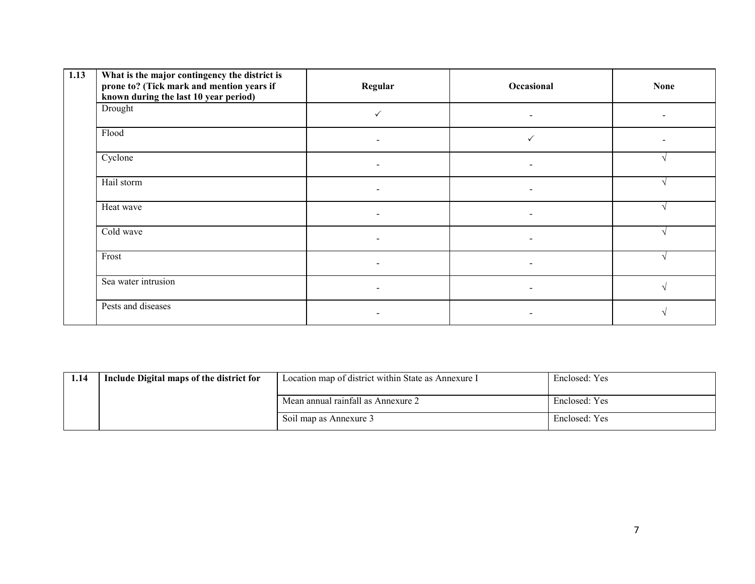| 1.13 | What is the major contingency the district is<br>prone to? (Tick mark and mention years if<br>known during the last 10 year period) | Regular                  | Occasional               | <b>None</b> |
|------|-------------------------------------------------------------------------------------------------------------------------------------|--------------------------|--------------------------|-------------|
|      | Drought                                                                                                                             |                          |                          |             |
|      | Flood                                                                                                                               |                          |                          |             |
|      | Cyclone                                                                                                                             |                          | $\overline{\phantom{0}}$ |             |
|      | Hail storm                                                                                                                          | $\overline{\phantom{0}}$ | $\overline{\phantom{a}}$ |             |
|      | Heat wave                                                                                                                           |                          | $\overline{a}$           |             |
|      | Cold wave                                                                                                                           | $\overline{\phantom{a}}$ | $\overline{\phantom{a}}$ |             |
|      | Frost                                                                                                                               |                          |                          |             |
|      | Sea water intrusion                                                                                                                 |                          | $\overline{a}$           |             |
|      | Pests and diseases                                                                                                                  |                          |                          |             |

| 1.14 | Include Digital maps of the district for | Location map of district within State as Annexure I | Enclosed: Yes |
|------|------------------------------------------|-----------------------------------------------------|---------------|
|      |                                          | Mean annual rainfall as Annexure 2                  | Enclosed: Yes |
|      |                                          | Soil map as Annexure 3                              | Enclosed: Yes |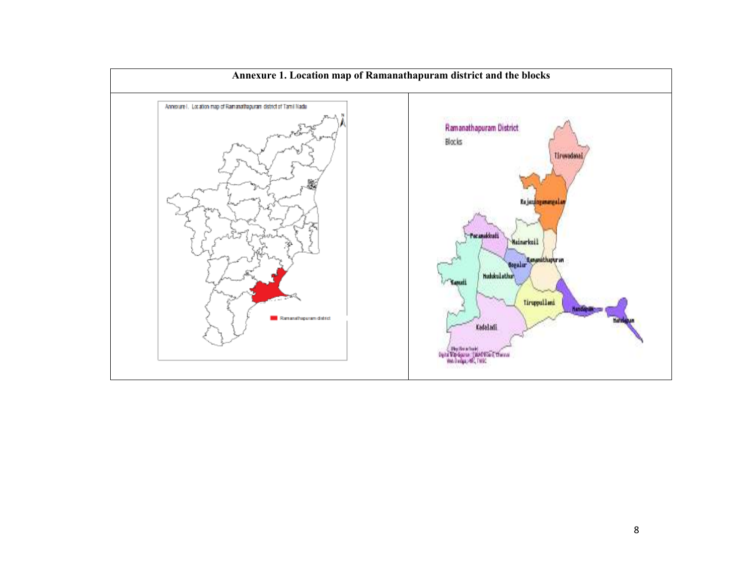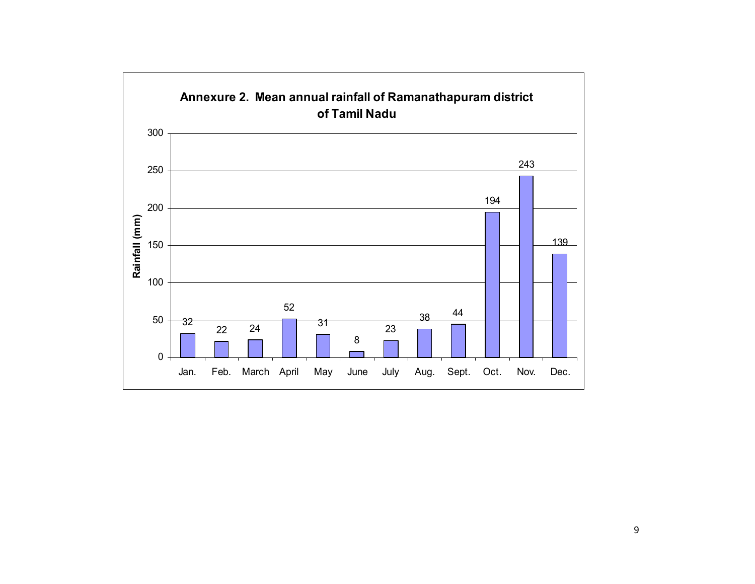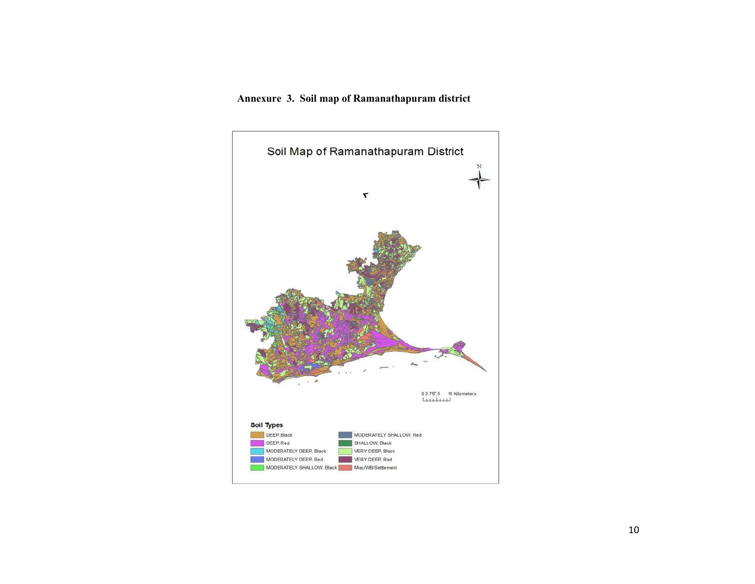#### Annexure 3. Soil map of Ramanathapuram district

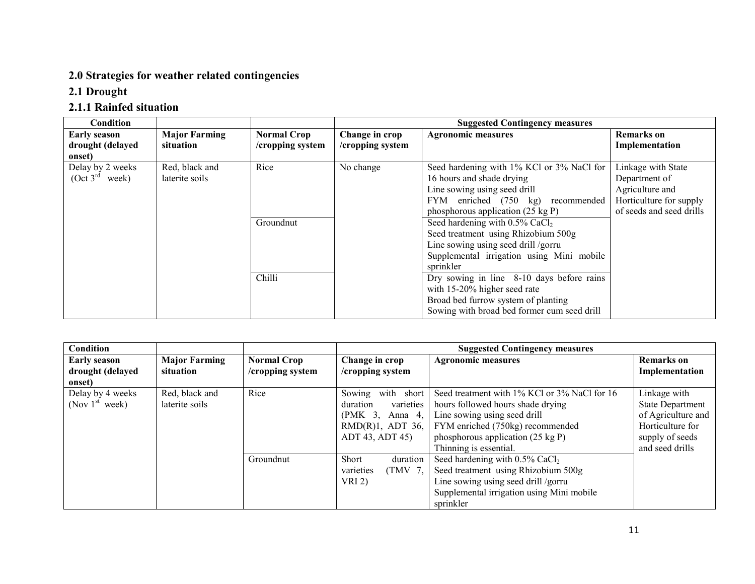### 2.0 Strategies for weather related contingencies

#### 2.1 Drought

### 2.1.1 Rainfed situation

| Condition                                                |                                   |                                        |                                    | <b>Suggested Contingency measures</b>                                                                                                                                                                                                                                                                                                                                                                                                                                                                                                                    |                                                                                                               |
|----------------------------------------------------------|-----------------------------------|----------------------------------------|------------------------------------|----------------------------------------------------------------------------------------------------------------------------------------------------------------------------------------------------------------------------------------------------------------------------------------------------------------------------------------------------------------------------------------------------------------------------------------------------------------------------------------------------------------------------------------------------------|---------------------------------------------------------------------------------------------------------------|
| <b>Early season</b><br>drought (delayed                  | <b>Major Farming</b><br>situation | <b>Normal Crop</b><br>/cropping system | Change in crop<br>/cropping system | <b>Agronomic measures</b>                                                                                                                                                                                                                                                                                                                                                                                                                                                                                                                                | <b>Remarks</b> on<br>Implementation                                                                           |
| onset)<br>Delay by 2 weeks<br>(Oct 3 <sup>rd</sup> week) | Red, black and<br>laterite soils  | Rice<br>Groundnut<br>Chilli            | No change                          | Seed hardening with 1% KCl or 3% NaCl for<br>16 hours and shade drying<br>Line sowing using seed drill<br>FYM enriched (750 kg) recommended<br>phosphorous application $(25 \text{ kg P})$<br>Seed hardening with $0.5\%$ CaCl <sub>2</sub><br>Seed treatment using Rhizobium 500g<br>Line sowing using seed drill /gorru<br>Supplemental irrigation using Mini mobile<br>sprinkler<br>Dry sowing in line $8-10$ days before rains<br>with 15-20% higher seed rate<br>Broad bed furrow system of planting<br>Sowing with broad bed former cum seed drill | Linkage with State<br>Department of<br>Agriculture and<br>Horticulture for supply<br>of seeds and seed drills |

| Condition           |                      |                    |                                | <b>Suggested Contingency measures</b>         |                         |
|---------------------|----------------------|--------------------|--------------------------------|-----------------------------------------------|-------------------------|
| <b>Early season</b> | <b>Major Farming</b> | <b>Normal Crop</b> | Change in crop                 | <b>Agronomic measures</b>                     | <b>Remarks</b> on       |
| drought (delayed    | situation            | /cropping system   | /cropping system               |                                               | Implementation          |
| onset)              |                      |                    |                                |                                               |                         |
| Delay by 4 weeks    | Red, black and       | Rice               | with short<br>Sowing           | Seed treatment with 1% KCl or 3% NaCl for 16  | Linkage with            |
| (Nov $1st$ week)    | laterite soils       |                    | varieties<br>duration          | hours followed hours shade drying             | <b>State Department</b> |
|                     |                      |                    | (PMK <sub>3</sub> )<br>Anna 4, | Line sowing using seed drill                  | of Agriculture and      |
|                     |                      |                    | $RMD(R)1$ , ADT 36,            | FYM enriched (750kg) recommended              | Horticulture for        |
|                     |                      |                    | ADT 43, ADT 45)                | phosphorous application (25 kg P)             | supply of seeds         |
|                     |                      |                    |                                | Thinning is essential.                        | and seed drills         |
|                     |                      | Groundnut          | duration<br>Short              | Seed hardening with $0.5\%$ CaCl <sub>2</sub> |                         |
|                     |                      |                    | varieties<br>(TMV 7,           | Seed treatment using Rhizobium 500g           |                         |
|                     |                      |                    | VRI 2)                         | Line sowing using seed drill /gorru           |                         |
|                     |                      |                    |                                | Supplemental irrigation using Mini mobile     |                         |
|                     |                      |                    |                                | sprinkler                                     |                         |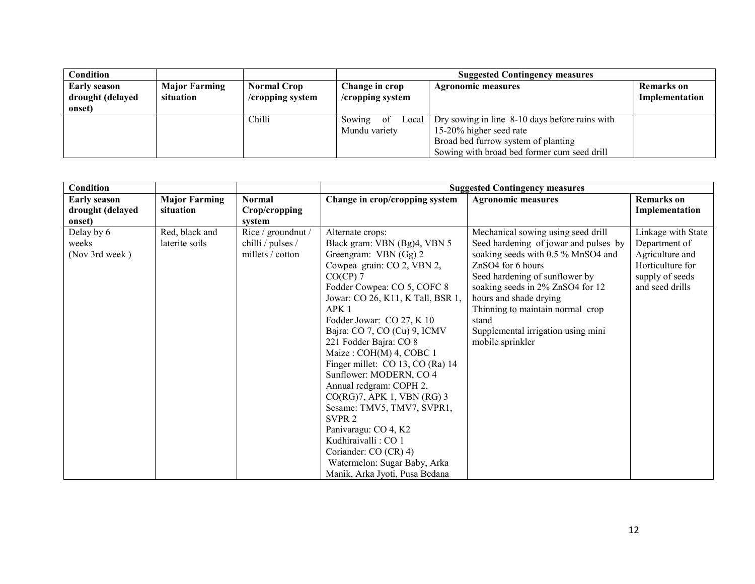| Condition           |                      |                    | <b>Suggested Contingency measures</b>       |                                                |                   |  |
|---------------------|----------------------|--------------------|---------------------------------------------|------------------------------------------------|-------------------|--|
| <b>Early season</b> | <b>Major Farming</b> | <b>Normal Crop</b> | Change in crop<br><b>Agronomic measures</b> |                                                | <b>Remarks</b> on |  |
| drought (delayed    | situation            | /cropping system   | /cropping system                            |                                                | Implementation    |  |
| onset)              |                      |                    |                                             |                                                |                   |  |
|                     |                      | Chilli             | 0f<br>Local <sub>l</sub><br>Sowing          | Dry sowing in line 8-10 days before rains with |                   |  |
|                     |                      |                    | Mundu variety                               | 15-20% higher seed rate                        |                   |  |
|                     |                      |                    |                                             | Broad bed furrow system of planting            |                   |  |
|                     |                      |                    |                                             | Sowing with broad bed former cum seed drill    |                   |  |

| <b>Condition</b>                                  |                                   |                                                             |                                                                                                                                                                                                                                                                                                                                                                                                                                                                                                                                                                                                                                                      | <b>Suggested Contingency measures</b>                                                                                                                                                                                                                                                                                                         |                                                                                                                  |
|---------------------------------------------------|-----------------------------------|-------------------------------------------------------------|------------------------------------------------------------------------------------------------------------------------------------------------------------------------------------------------------------------------------------------------------------------------------------------------------------------------------------------------------------------------------------------------------------------------------------------------------------------------------------------------------------------------------------------------------------------------------------------------------------------------------------------------------|-----------------------------------------------------------------------------------------------------------------------------------------------------------------------------------------------------------------------------------------------------------------------------------------------------------------------------------------------|------------------------------------------------------------------------------------------------------------------|
| <b>Early season</b><br>drought (delayed<br>onset) | <b>Major Farming</b><br>situation | <b>Normal</b><br>Crop/cropping<br>system                    | Change in crop/cropping system                                                                                                                                                                                                                                                                                                                                                                                                                                                                                                                                                                                                                       | <b>Agronomic measures</b>                                                                                                                                                                                                                                                                                                                     | <b>Remarks</b> on<br>Implementation                                                                              |
| Delay by 6<br>weeks<br>(Nov 3rd week)             | Red, black and<br>laterite soils  | Rice / groundnut /<br>chilli / pulses /<br>millets / cotton | Alternate crops:<br>Black gram: VBN (Bg)4, VBN 5<br>Greengram: VBN (Gg) 2<br>Cowpea grain: CO 2, VBN 2,<br>$CO(CP)$ 7<br>Fodder Cowpea: CO 5, COFC 8<br>Jowar: CO 26, K11, K Tall, BSR 1,<br>APK <sub>1</sub><br>Fodder Jowar: CO 27, K 10<br>Bajra: CO 7, CO (Cu) 9, ICMV<br>221 Fodder Bajra: CO 8<br>Maize: COH(M) 4, COBC 1<br>Finger millet: CO 13, CO (Ra) 14<br>Sunflower: MODERN, CO 4<br>Annual redgram: COPH 2,<br>CO(RG)7, APK 1, VBN (RG) 3<br>Sesame: TMV5, TMV7, SVPR1,<br>SVPR <sub>2</sub><br>Panivaragu: CO 4, K2<br>Kudhiraivalli: CO 1<br>Coriander: CO (CR) 4)<br>Watermelon: Sugar Baby, Arka<br>Manik, Arka Jyoti, Pusa Bedana | Mechanical sowing using seed drill<br>Seed hardening of jowar and pulses by<br>soaking seeds with 0.5 % MnSO4 and<br>ZnSO4 for 6 hours<br>Seed hardening of sunflower by<br>soaking seeds in 2% ZnSO4 for 12<br>hours and shade drying<br>Thinning to maintain normal crop<br>stand<br>Supplemental irrigation using mini<br>mobile sprinkler | Linkage with State<br>Department of<br>Agriculture and<br>Horticulture for<br>supply of seeds<br>and seed drills |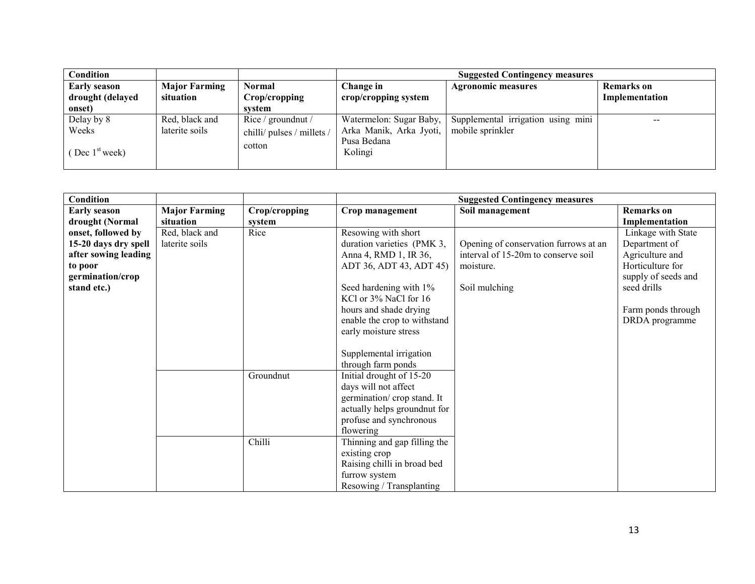| Condition           |                      |                            |                         | <b>Suggested Contingency measures</b> |                   |
|---------------------|----------------------|----------------------------|-------------------------|---------------------------------------|-------------------|
| <b>Early season</b> | <b>Major Farming</b> | <b>Normal</b>              | Change in               | <b>Agronomic measures</b>             | <b>Remarks</b> on |
| drought (delayed    | situation            | Crop/cropping              | crop/cropping system    |                                       | Implementation    |
| onset)              |                      | system                     |                         |                                       |                   |
| Delay by 8          | Red, black and       | Rice / ground nut /        | Watermelon: Sugar Baby, | Supplemental irrigation using mini    | $- -$             |
| Weeks               | laterite soils       | chilli/ pulses / millets / | Arka Manik, Arka Jyoti, | mobile sprinkler                      |                   |
| Dec $1st$ week)     |                      | cotton                     | Pusa Bedana<br>Kolingi  |                                       |                   |

| Condition            |                      |               |                              | <b>Suggested Contingency measures</b> |                     |
|----------------------|----------------------|---------------|------------------------------|---------------------------------------|---------------------|
| <b>Early season</b>  | <b>Major Farming</b> | Crop/cropping | Crop management              | Soil management                       | <b>Remarks</b> on   |
| drought (Normal      | situation            | system        |                              |                                       | Implementation      |
| onset, followed by   | Red, black and       | Rice          | Resowing with short          |                                       | Linkage with State  |
| 15-20 days dry spell | laterite soils       |               | duration varieties (PMK 3,   | Opening of conservation furrows at an | Department of       |
| after sowing leading |                      |               | Anna 4, RMD 1, IR 36,        | interval of 15-20m to conserve soil   | Agriculture and     |
| to poor              |                      |               | ADT 36, ADT 43, ADT 45)      | moisture.                             | Horticulture for    |
| germination/crop     |                      |               |                              |                                       | supply of seeds and |
| stand etc.)          |                      |               | Seed hardening with 1%       | Soil mulching                         | seed drills         |
|                      |                      |               | KCl or 3% NaCl for 16        |                                       |                     |
|                      |                      |               | hours and shade drying       |                                       | Farm ponds through  |
|                      |                      |               | enable the crop to withstand |                                       | DRDA programme      |
|                      |                      |               | early moisture stress        |                                       |                     |
|                      |                      |               |                              |                                       |                     |
|                      |                      |               | Supplemental irrigation      |                                       |                     |
|                      |                      |               | through farm ponds           |                                       |                     |
|                      |                      | Groundnut     | Initial drought of 15-20     |                                       |                     |
|                      |                      |               | days will not affect         |                                       |                     |
|                      |                      |               | germination/crop stand. It   |                                       |                     |
|                      |                      |               | actually helps groundnut for |                                       |                     |
|                      |                      |               | profuse and synchronous      |                                       |                     |
|                      |                      |               | flowering                    |                                       |                     |
|                      |                      | Chilli        | Thinning and gap filling the |                                       |                     |
|                      |                      |               | existing crop                |                                       |                     |
|                      |                      |               | Raising chilli in broad bed  |                                       |                     |
|                      |                      |               | furrow system                |                                       |                     |
|                      |                      |               | Resowing / Transplanting     |                                       |                     |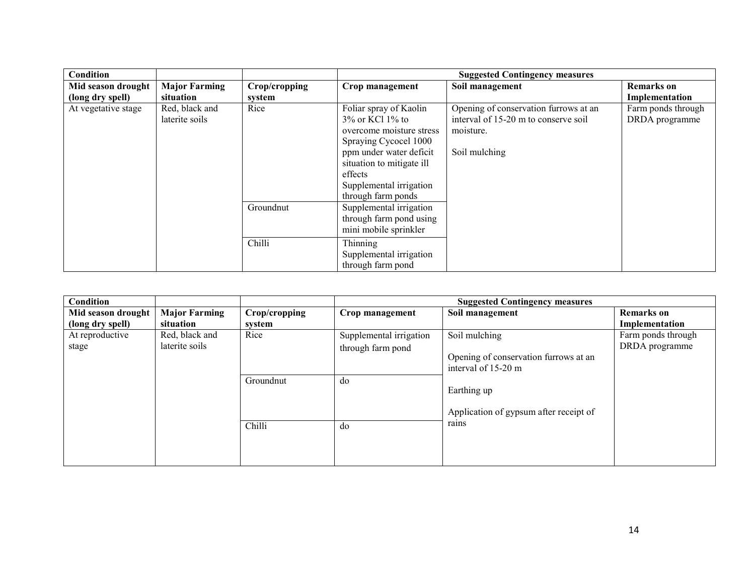| Condition                              |                                   |                         |                                                                                                                                                                                                                          | <b>Suggested Contingency measures</b>                                                                       |                                      |
|----------------------------------------|-----------------------------------|-------------------------|--------------------------------------------------------------------------------------------------------------------------------------------------------------------------------------------------------------------------|-------------------------------------------------------------------------------------------------------------|--------------------------------------|
| Mid season drought<br>(long dry spell) | <b>Major Farming</b><br>situation | Crop/cropping<br>system | Crop management                                                                                                                                                                                                          | Soil management                                                                                             | <b>Remarks</b> on<br>Implementation  |
| At vegetative stage                    | Red, black and<br>laterite soils  | Rice                    | Foliar spray of Kaolin<br>$3\%$ or KCl $1\%$ to<br>overcome moisture stress<br>Spraying Cycocel 1000<br>ppm under water deficit<br>situation to mitigate ill<br>effects<br>Supplemental irrigation<br>through farm ponds | Opening of conservation furrows at an<br>interval of 15-20 m to conserve soil<br>moisture.<br>Soil mulching | Farm ponds through<br>DRDA programme |
|                                        |                                   | Groundnut               | Supplemental irrigation<br>through farm pond using<br>mini mobile sprinkler                                                                                                                                              |                                                                                                             |                                      |
|                                        |                                   | Chilli                  | Thinning<br>Supplemental irrigation<br>through farm pond                                                                                                                                                                 |                                                                                                             |                                      |

| <b>Condition</b>   |                      |               |                         | <b>Suggested Contingency measures</b>  |                    |
|--------------------|----------------------|---------------|-------------------------|----------------------------------------|--------------------|
| Mid season drought | <b>Major Farming</b> | Crop/cropping | Crop management         | Soil management                        | <b>Remarks</b> on  |
| (long dry spell)   | situation            | system        |                         |                                        | Implementation     |
| At reproductive    | Red, black and       | Rice          | Supplemental irrigation | Soil mulching                          | Farm ponds through |
| stage              | laterite soils       |               | through farm pond       |                                        | DRDA programme     |
|                    |                      |               |                         | Opening of conservation furrows at an  |                    |
|                    |                      |               |                         | interval of 15-20 m                    |                    |
|                    |                      | Groundnut     | do                      |                                        |                    |
|                    |                      |               |                         | Earthing up                            |                    |
|                    |                      |               |                         |                                        |                    |
|                    |                      |               |                         | Application of gypsum after receipt of |                    |
|                    |                      | Chilli        | do                      | rains                                  |                    |
|                    |                      |               |                         |                                        |                    |
|                    |                      |               |                         |                                        |                    |
|                    |                      |               |                         |                                        |                    |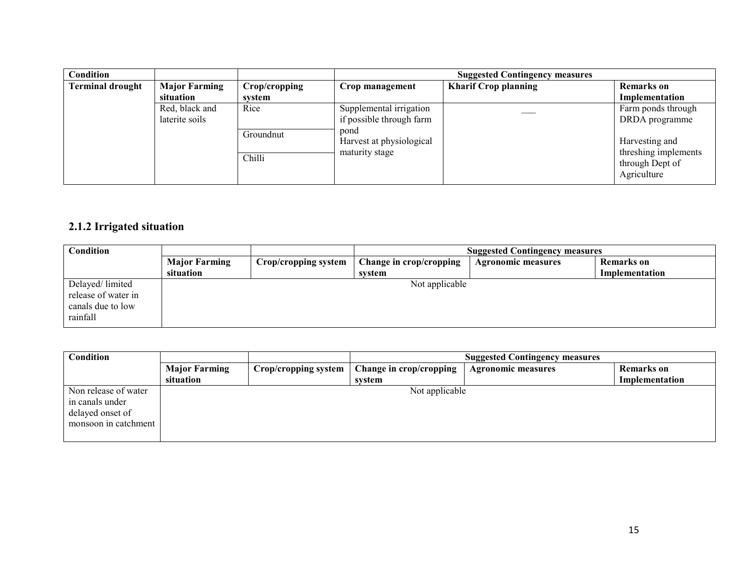| Condition               |                      |               |                                  | <b>Suggested Contingency measures</b> |                                                        |
|-------------------------|----------------------|---------------|----------------------------------|---------------------------------------|--------------------------------------------------------|
| <b>Terminal drought</b> | <b>Major Farming</b> | Crop/cropping | Crop management                  | <b>Kharif Crop planning</b>           | <b>Remarks</b> on                                      |
|                         | situation            | system        |                                  |                                       | Implementation                                         |
|                         | Red, black and       | Rice          | Supplemental irrigation          |                                       | Farm ponds through                                     |
|                         | laterite soils       |               | if possible through farm         |                                       | DRDA programme                                         |
|                         |                      | Groundnut     | pond<br>Harvest at physiological |                                       | Harvesting and                                         |
|                         |                      | Chilli        | maturity stage                   |                                       | threshing implements<br>through Dept of<br>Agriculture |

#### 2.1.2 Irrigated situation

| Condition                                                               |                      |                      | <b>Suggested Contingency measures</b> |                           |                |  |
|-------------------------------------------------------------------------|----------------------|----------------------|---------------------------------------|---------------------------|----------------|--|
|                                                                         | <b>Major Farming</b> | Crop/cropping system | Change in crop/cropping               | <b>Agronomic measures</b> | Remarks on     |  |
|                                                                         | situation            |                      | system                                |                           | Implementation |  |
| Delayed/limited<br>release of water in<br>canals due to low<br>rainfall |                      |                      | Not applicable                        |                           |                |  |

| <b>Condition</b>                                                                    |                      |                      | <b>Suggested Contingency measures</b> |                           |                |
|-------------------------------------------------------------------------------------|----------------------|----------------------|---------------------------------------|---------------------------|----------------|
|                                                                                     | <b>Major Farming</b> | Crop/cropping system | Change in crop/cropping               | <b>Agronomic measures</b> | Remarks on     |
|                                                                                     | situation            |                      | system                                |                           | Implementation |
| Non release of water<br>in canals under<br>delayed onset of<br>monsoon in catchment |                      |                      | Not applicable                        |                           |                |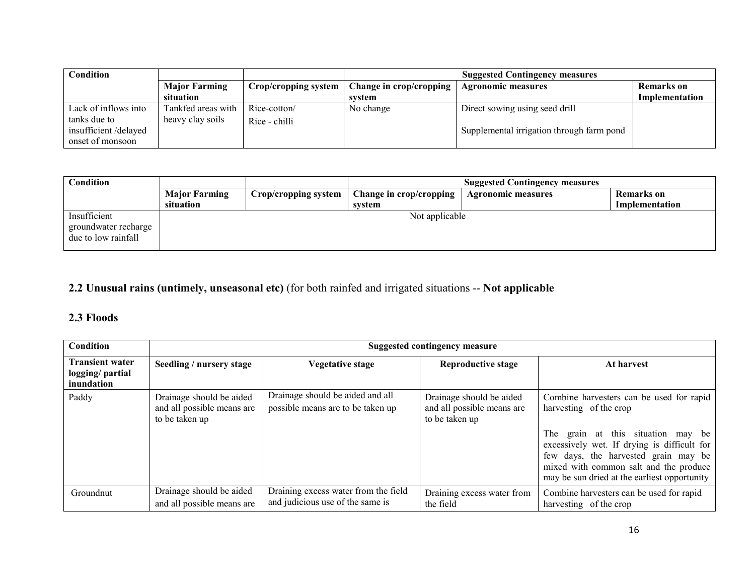| Condition                                                |                      |                      | <b>Suggested Contingency measures</b>                |                                           |                |
|----------------------------------------------------------|----------------------|----------------------|------------------------------------------------------|-------------------------------------------|----------------|
|                                                          | <b>Major Farming</b> | Crop/cropping system | Change in crop/cropping<br><b>Agronomic measures</b> |                                           | Remarks on     |
|                                                          | situation            |                      | svstem                                               |                                           | Implementation |
| Lack of inflows into                                     | Tankfed areas with   | Rice-cotton/         | No change                                            | Direct sowing using seed drill            |                |
| tanks due to<br>insufficient/delayed<br>onset of monsoon | heavy clay soils     | Rice - chilli        |                                                      | Supplemental irrigation through farm pond |                |

| Condition                                                   |                      |                      | <b>Suggested Contingency measures</b> |                           |                |
|-------------------------------------------------------------|----------------------|----------------------|---------------------------------------|---------------------------|----------------|
|                                                             | <b>Major Farming</b> | Crop/cropping system | Change in crop/cropping               | <b>Agronomic measures</b> | Remarks on     |
|                                                             | situation            |                      | svstem                                |                           | Implementation |
| Insufficient<br>groundwater recharge<br>due to low rainfall |                      |                      | Not applicable                        |                           |                |

### 2.2 Unusual rains (untimely, unseasonal etc) (for both rainfed and irrigated situations -- Not applicable

## 2.3 Floods

| <b>Condition</b>                                         |                                                                          | <b>Suggested contingency measure</b>                                     |                                                                          |                                                                                                                                                                                                                                                                                           |  |  |  |
|----------------------------------------------------------|--------------------------------------------------------------------------|--------------------------------------------------------------------------|--------------------------------------------------------------------------|-------------------------------------------------------------------------------------------------------------------------------------------------------------------------------------------------------------------------------------------------------------------------------------------|--|--|--|
| <b>Transient water</b><br>logging/ partial<br>inundation | Seedling / nursery stage                                                 | Vegetative stage                                                         | <b>Reproductive stage</b>                                                | At harvest                                                                                                                                                                                                                                                                                |  |  |  |
| Paddy                                                    | Drainage should be aided<br>and all possible means are<br>to be taken up | Drainage should be aided and all<br>possible means are to be taken up    | Drainage should be aided<br>and all possible means are<br>to be taken up | Combine harvesters can be used for rapid<br>harvesting of the crop<br>The grain at this situation may be<br>excessively wet. If drying is difficult for<br>few days, the harvested grain may be<br>mixed with common salt and the produce<br>may be sun dried at the earliest opportunity |  |  |  |
| Groundnut                                                | Drainage should be aided<br>and all possible means are                   | Draining excess water from the field<br>and judicious use of the same is | Draining excess water from<br>the field                                  | Combine harvesters can be used for rapid<br>harvesting of the crop                                                                                                                                                                                                                        |  |  |  |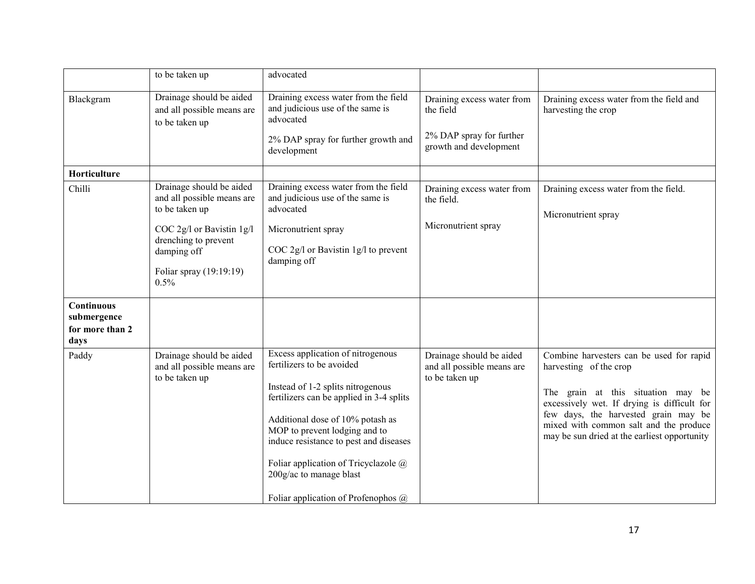|                                        | to be taken up                                                                                                                                                                  | advocated                                                                                                                                                                                                                                                                                                                                                                    |                                                                                               |                                                                                                                                                                                                                                                                                           |
|----------------------------------------|---------------------------------------------------------------------------------------------------------------------------------------------------------------------------------|------------------------------------------------------------------------------------------------------------------------------------------------------------------------------------------------------------------------------------------------------------------------------------------------------------------------------------------------------------------------------|-----------------------------------------------------------------------------------------------|-------------------------------------------------------------------------------------------------------------------------------------------------------------------------------------------------------------------------------------------------------------------------------------------|
| Blackgram                              | Drainage should be aided<br>and all possible means are<br>to be taken up                                                                                                        | Draining excess water from the field<br>and judicious use of the same is<br>advocated<br>2% DAP spray for further growth and<br>development                                                                                                                                                                                                                                  | Draining excess water from<br>the field<br>2% DAP spray for further<br>growth and development | Draining excess water from the field and<br>harvesting the crop                                                                                                                                                                                                                           |
| Horticulture                           |                                                                                                                                                                                 |                                                                                                                                                                                                                                                                                                                                                                              |                                                                                               |                                                                                                                                                                                                                                                                                           |
| Chilli                                 | Drainage should be aided<br>and all possible means are<br>to be taken up<br>COC 2g/l or Bavistin 1g/l<br>drenching to prevent<br>damping off<br>Foliar spray (19:19:19)<br>0.5% | Draining excess water from the field<br>and judicious use of the same is<br>advocated<br>Micronutrient spray<br>COC 2g/l or Bavistin 1g/l to prevent<br>damping off                                                                                                                                                                                                          | Draining excess water from<br>the field.<br>Micronutrient spray                               | Draining excess water from the field.<br>Micronutrient spray                                                                                                                                                                                                                              |
| Continuous                             |                                                                                                                                                                                 |                                                                                                                                                                                                                                                                                                                                                                              |                                                                                               |                                                                                                                                                                                                                                                                                           |
| submergence<br>for more than 2<br>days |                                                                                                                                                                                 |                                                                                                                                                                                                                                                                                                                                                                              |                                                                                               |                                                                                                                                                                                                                                                                                           |
| Paddy                                  | Drainage should be aided<br>and all possible means are<br>to be taken up                                                                                                        | Excess application of nitrogenous<br>fertilizers to be avoided<br>Instead of 1-2 splits nitrogenous<br>fertilizers can be applied in 3-4 splits<br>Additional dose of 10% potash as<br>MOP to prevent lodging and to<br>induce resistance to pest and diseases<br>Foliar application of Tricyclazole @<br>200g/ac to manage blast<br>Foliar application of Profenophos $(a)$ | Drainage should be aided<br>and all possible means are<br>to be taken up                      | Combine harvesters can be used for rapid<br>harvesting of the crop<br>The grain at this situation may be<br>excessively wet. If drying is difficult for<br>few days, the harvested grain may be<br>mixed with common salt and the produce<br>may be sun dried at the earliest opportunity |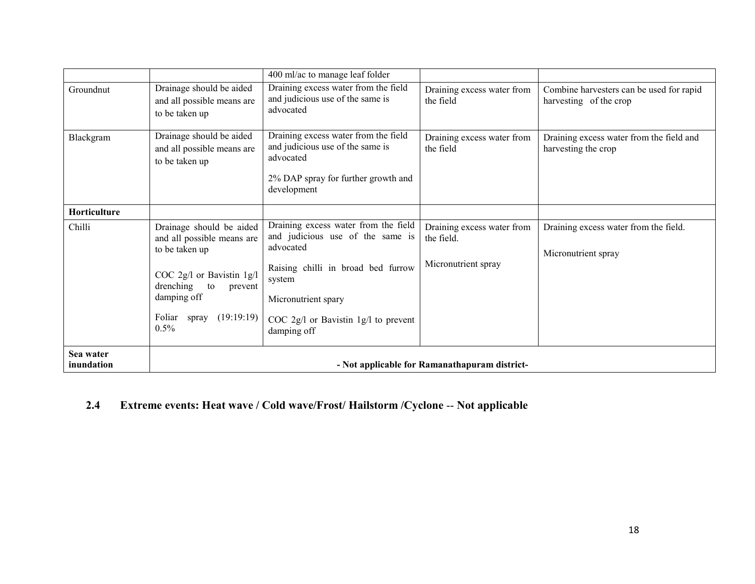|                         |                                                                                                                                                                                          | 400 ml/ac to manage leaf folder                                                                                                                                                                                       |                                                                 |                                                                    |  |
|-------------------------|------------------------------------------------------------------------------------------------------------------------------------------------------------------------------------------|-----------------------------------------------------------------------------------------------------------------------------------------------------------------------------------------------------------------------|-----------------------------------------------------------------|--------------------------------------------------------------------|--|
| Groundnut               | Drainage should be aided<br>and all possible means are<br>to be taken up                                                                                                                 | Draining excess water from the field<br>and judicious use of the same is<br>advocated                                                                                                                                 | Draining excess water from<br>the field                         | Combine harvesters can be used for rapid<br>harvesting of the crop |  |
| Blackgram               | Drainage should be aided<br>and all possible means are<br>to be taken up                                                                                                                 | Draining excess water from the field<br>and judicious use of the same is<br>advocated<br>2% DAP spray for further growth and<br>development                                                                           | Draining excess water from<br>the field                         | Draining excess water from the field and<br>harvesting the crop    |  |
| Horticulture            |                                                                                                                                                                                          |                                                                                                                                                                                                                       |                                                                 |                                                                    |  |
| Chilli                  | Drainage should be aided<br>and all possible means are<br>to be taken up<br>COC 2g/l or Bavistin 1g/l<br>drenching<br>to<br>prevent<br>damping off<br>Foliar<br>spray (19:19:19)<br>0.5% | Draining excess water from the field<br>and judicious use of the same is<br>advocated<br>Raising chilli in broad bed furrow<br>system<br>Micronutrient spary<br>COC $2g/l$ or Bavistin 1g/l to prevent<br>damping off | Draining excess water from<br>the field.<br>Micronutrient spray | Draining excess water from the field.<br>Micronutrient spray       |  |
| Sea water<br>inundation | - Not applicable for Ramanathapuram district-                                                                                                                                            |                                                                                                                                                                                                                       |                                                                 |                                                                    |  |

#### 2.4Extreme events: Heat wave / Cold wave/Frost/ Hailstorm /Cyclone -- Not applicable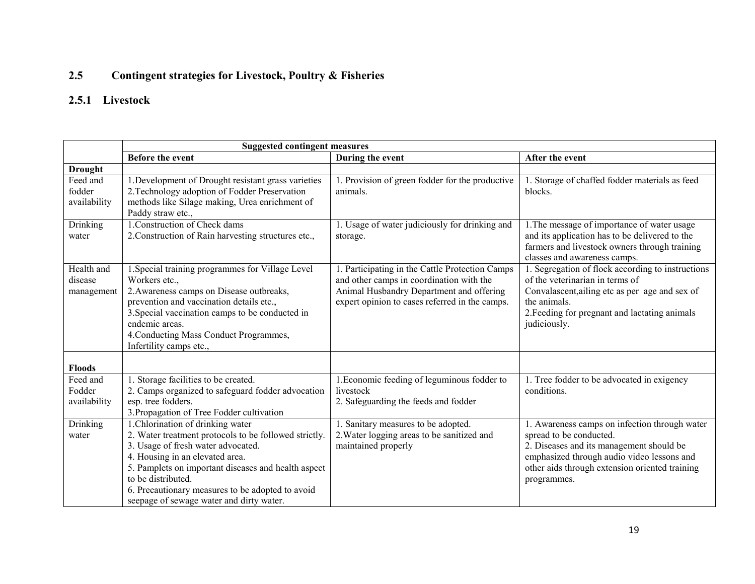### 2.5 Contingent strategies for Livestock, Poultry & Fisheries

## 2.5.1 Livestock

|                                     | <b>Suggested contingent measures</b>                                                                                                                                                                                                                                                                                                             |                                                                                                                                                                                        |                                                                                                                                                                                                                                     |
|-------------------------------------|--------------------------------------------------------------------------------------------------------------------------------------------------------------------------------------------------------------------------------------------------------------------------------------------------------------------------------------------------|----------------------------------------------------------------------------------------------------------------------------------------------------------------------------------------|-------------------------------------------------------------------------------------------------------------------------------------------------------------------------------------------------------------------------------------|
|                                     | <b>Before the event</b>                                                                                                                                                                                                                                                                                                                          | During the event                                                                                                                                                                       | After the event                                                                                                                                                                                                                     |
| <b>Drought</b>                      |                                                                                                                                                                                                                                                                                                                                                  |                                                                                                                                                                                        |                                                                                                                                                                                                                                     |
| Feed and<br>fodder<br>availability  | 1. Development of Drought resistant grass varieties<br>2. Technology adoption of Fodder Preservation<br>methods like Silage making, Urea enrichment of<br>Paddy straw etc.,                                                                                                                                                                      | 1. Provision of green fodder for the productive<br>animals.                                                                                                                            | 1. Storage of chaffed fodder materials as feed<br>blocks.                                                                                                                                                                           |
| <b>Drinking</b><br>water            | 1. Construction of Check dams<br>2. Construction of Rain harvesting structures etc.,                                                                                                                                                                                                                                                             | 1. Usage of water judiciously for drinking and<br>storage.                                                                                                                             | 1. The message of importance of water usage<br>and its application has to be delivered to the<br>farmers and livestock owners through training<br>classes and awareness camps.                                                      |
| Health and<br>disease<br>management | 1. Special training programmes for Village Level<br>Workers etc.,<br>2. Awareness camps on Disease outbreaks,<br>prevention and vaccination details etc.,<br>3. Special vaccination camps to be conducted in<br>endemic areas.<br>4. Conducting Mass Conduct Programmes,<br>Infertility camps etc.,                                              | Participating in the Cattle Protection Camps<br>and other camps in coordination with the<br>Animal Husbandry Department and offering<br>expert opinion to cases referred in the camps. | 1. Segregation of flock according to instructions<br>of the veterinarian in terms of<br>Convalascent, ailing etc as per age and sex of<br>the animals.<br>2. Feeding for pregnant and lactating animals<br>judiciously.             |
| <b>Floods</b>                       |                                                                                                                                                                                                                                                                                                                                                  |                                                                                                                                                                                        |                                                                                                                                                                                                                                     |
| Feed and<br>Fodder<br>availability  | 1. Storage facilities to be created.<br>2. Camps organized to safeguard fodder advocation<br>esp. tree fodders.<br>3. Propagation of Tree Fodder cultivation                                                                                                                                                                                     | 1. Economic feeding of leguminous fodder to<br>livestock<br>2. Safeguarding the feeds and fodder                                                                                       | 1. Tree fodder to be advocated in exigency<br>conditions.                                                                                                                                                                           |
| Drinking<br>water                   | 1. Chlorination of drinking water<br>2. Water treatment protocols to be followed strictly.<br>3. Usage of fresh water advocated.<br>4. Housing in an elevated area.<br>5. Pamplets on important diseases and health aspect<br>to be distributed.<br>6. Precautionary measures to be adopted to avoid<br>seepage of sewage water and dirty water. | 1. Sanitary measures to be adopted.<br>2. Water logging areas to be sanitized and<br>maintained properly                                                                               | 1. Awareness camps on infection through water<br>spread to be conducted.<br>2. Diseases and its management should be<br>emphasized through audio video lessons and<br>other aids through extension oriented training<br>programmes. |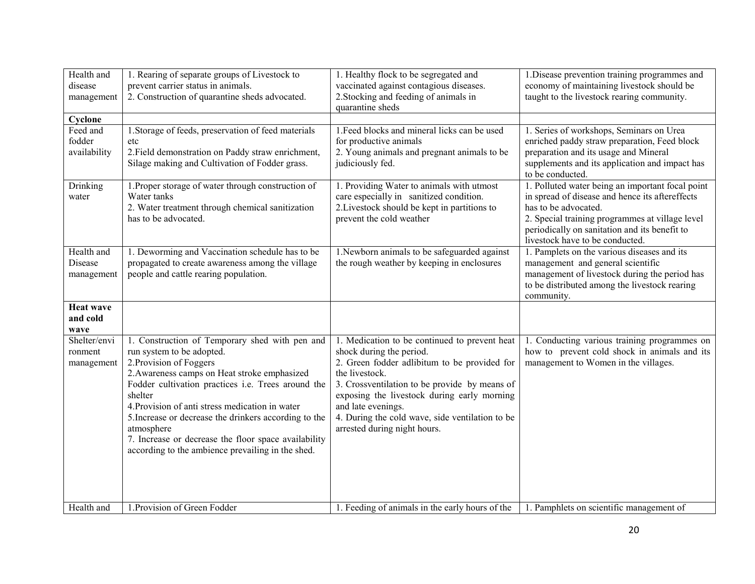| Health and           | 1. Rearing of separate groups of Livestock to            | 1. Healthy flock to be segregated and                                 | 1. Disease prevention training programmes and                                         |
|----------------------|----------------------------------------------------------|-----------------------------------------------------------------------|---------------------------------------------------------------------------------------|
| disease              | prevent carrier status in animals.                       | vaccinated against contagious diseases.                               | economy of maintaining livestock should be                                            |
| management           | 2. Construction of quarantine sheds advocated.           | 2. Stocking and feeding of animals in                                 | taught to the livestock rearing community.                                            |
|                      |                                                          | quarantine sheds                                                      |                                                                                       |
| Cyclone              |                                                          |                                                                       |                                                                                       |
| Feed and             | 1. Storage of feeds, preservation of feed materials      | 1. Feed blocks and mineral licks can be used                          | 1. Series of workshops, Seminars on Urea                                              |
| fodder               | etc<br>2. Field demonstration on Paddy straw enrichment, | for productive animals<br>2. Young animals and pregnant animals to be | enriched paddy straw preparation, Feed block<br>preparation and its usage and Mineral |
| availability         | Silage making and Cultivation of Fodder grass.           | judiciously fed.                                                      | supplements and its application and impact has                                        |
|                      |                                                          |                                                                       | to be conducted.                                                                      |
| Drinking             | 1. Proper storage of water through construction of       | 1. Providing Water to animals with utmost                             | 1. Polluted water being an important focal point                                      |
| water                | Water tanks                                              | care especially in sanitized condition.                               | in spread of disease and hence its aftereffects                                       |
|                      | 2. Water treatment through chemical sanitization         | 2. Livestock should be kept in partitions to                          | has to be advocated.                                                                  |
|                      | has to be advocated.                                     | prevent the cold weather                                              | 2. Special training programmes at village level                                       |
|                      |                                                          |                                                                       | periodically on sanitation and its benefit to<br>livestock have to be conducted.      |
| Health and           | 1. Deworming and Vaccination schedule has to be          | 1. Newborn animals to be safeguarded against                          | 1. Pamplets on the various diseases and its                                           |
| Disease              | propagated to create awareness among the village         | the rough weather by keeping in enclosures                            | management and general scientific                                                     |
| management           | people and cattle rearing population.                    |                                                                       | management of livestock during the period has                                         |
|                      |                                                          |                                                                       | to be distributed among the livestock rearing                                         |
|                      |                                                          |                                                                       | community.                                                                            |
| <b>Heat wave</b>     |                                                          |                                                                       |                                                                                       |
| and cold             |                                                          |                                                                       |                                                                                       |
| wave<br>Shelter/envi | 1. Construction of Temporary shed with pen and           | 1. Medication to be continued to prevent heat                         | 1. Conducting various training programmes on                                          |
| ronment              | run system to be adopted.                                | shock during the period.                                              | how to prevent cold shock in animals and its                                          |
| management           | 2. Provision of Foggers                                  | 2. Green fodder adlibitum to be provided for                          | management to Women in the villages.                                                  |
|                      | 2. Awareness camps on Heat stroke emphasized             | the livestock.                                                        |                                                                                       |
|                      | Fodder cultivation practices i.e. Trees around the       | 3. Crossventilation to be provide by means of                         |                                                                                       |
|                      | shelter                                                  | exposing the livestock during early morning                           |                                                                                       |
|                      | 4. Provision of anti stress medication in water          | and late evenings.                                                    |                                                                                       |
|                      | 5. Increase or decrease the drinkers according to the    | 4. During the cold wave, side ventilation to be                       |                                                                                       |
|                      | atmosphere                                               | arrested during night hours.                                          |                                                                                       |
|                      | 7. Increase or decrease the floor space availability     |                                                                       |                                                                                       |
|                      | according to the ambience prevailing in the shed.        |                                                                       |                                                                                       |
|                      |                                                          |                                                                       |                                                                                       |
|                      |                                                          |                                                                       |                                                                                       |
|                      |                                                          |                                                                       |                                                                                       |
| Health and           | 1. Provision of Green Fodder                             | 1. Feeding of animals in the early hours of the                       | 1. Pamphlets on scientific management of                                              |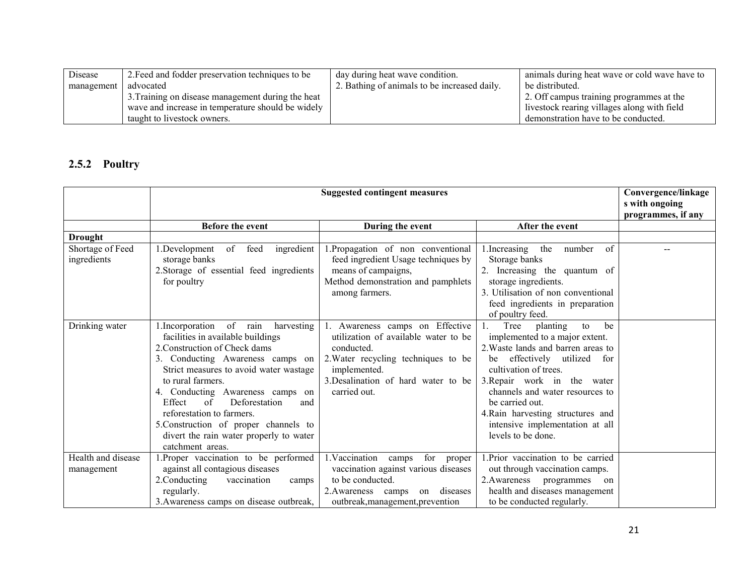| Disease    | 2. Feed and fodder preservation techniques to be  | day during heat wave condition.              | animals during heat wave or cold wave have to |
|------------|---------------------------------------------------|----------------------------------------------|-----------------------------------------------|
| management | advocated                                         | 2. Bathing of animals to be increased daily. | be distributed.                               |
|            | 3. Training on disease management during the heat |                                              | 2. Off campus training programmes at the      |
|            | wave and increase in temperature should be widely |                                              | livestock rearing villages along with field   |
|            | taught to livestock owners.                       |                                              | demonstration have to be conducted.           |

# 2.5.2 Poultry

|                                  |                                                                                                                                                                                                                                                                                                                                                                                                                                             | <b>Suggested contingent measures</b>                                                                                                                                                                |                                                                                                                                                                                                                                                                                                                                                       | Convergence/linkage<br>s with ongoing |
|----------------------------------|---------------------------------------------------------------------------------------------------------------------------------------------------------------------------------------------------------------------------------------------------------------------------------------------------------------------------------------------------------------------------------------------------------------------------------------------|-----------------------------------------------------------------------------------------------------------------------------------------------------------------------------------------------------|-------------------------------------------------------------------------------------------------------------------------------------------------------------------------------------------------------------------------------------------------------------------------------------------------------------------------------------------------------|---------------------------------------|
|                                  |                                                                                                                                                                                                                                                                                                                                                                                                                                             |                                                                                                                                                                                                     |                                                                                                                                                                                                                                                                                                                                                       | programmes, if any                    |
|                                  | <b>Before the event</b>                                                                                                                                                                                                                                                                                                                                                                                                                     | During the event                                                                                                                                                                                    | After the event                                                                                                                                                                                                                                                                                                                                       |                                       |
| <b>Drought</b>                   |                                                                                                                                                                                                                                                                                                                                                                                                                                             |                                                                                                                                                                                                     |                                                                                                                                                                                                                                                                                                                                                       |                                       |
| Shortage of Feed<br>ingredients  | feed<br>ingredient<br>1.Development<br>of<br>storage banks<br>2. Storage of essential feed ingredients<br>for poultry                                                                                                                                                                                                                                                                                                                       | .Propagation of non conventional<br>feed ingredient Usage techniques by<br>means of campaigns,<br>Method demonstration and pamphlets<br>among farmers.                                              | 1. Increasing<br>of<br>the<br>number<br>Storage banks<br>2. Increasing the quantum of<br>storage ingredients.<br>3. Utilisation of non conventional<br>feed ingredients in preparation<br>of poultry feed.                                                                                                                                            |                                       |
| Drinking water                   | of rain<br>1. Incorporation<br>harvesting<br>facilities in available buildings<br>2. Construction of Check dams<br>3. Conducting Awareness camps on<br>Strict measures to avoid water wastage<br>to rural farmers.<br>4. Conducting Awareness camps on<br>$\sigma$ f<br>Effect<br>Deforestation<br>and<br>reforestation to farmers.<br>5. Construction of proper channels to<br>divert the rain water properly to water<br>catchment areas. | 1. Awareness camps on Effective<br>utilization of available water to be<br>conducted.<br>2. Water recycling techniques to be<br>implemented.<br>3. Desalination of hard water to be<br>carried out. | be<br>Tree<br>planting<br>to<br>implemented to a major extent.<br>2. Waste lands and barren areas to<br>effectively utilized<br>for<br>be<br>cultivation of trees.<br>3. Repair work in the water<br>channels and water resources to<br>be carried out.<br>4. Rain harvesting structures and<br>intensive implementation at all<br>levels to be done. |                                       |
| Health and disease<br>management | Proper vaccination to be performed<br>against all contagious diseases<br>2. Conducting<br>vaccination<br>camps<br>regularly.<br>3. Awareness camps on disease outbreak,                                                                                                                                                                                                                                                                     | 1. Vaccination camps<br>for proper<br>vaccination against various diseases<br>to be conducted.<br>diseases<br>2. Awareness camps<br>on<br>outbreak, management, prevention                          | 1. Prior vaccination to be carried<br>out through vaccination camps.<br>2. Awareness<br>programmes<br>on<br>health and diseases management<br>to be conducted regularly.                                                                                                                                                                              |                                       |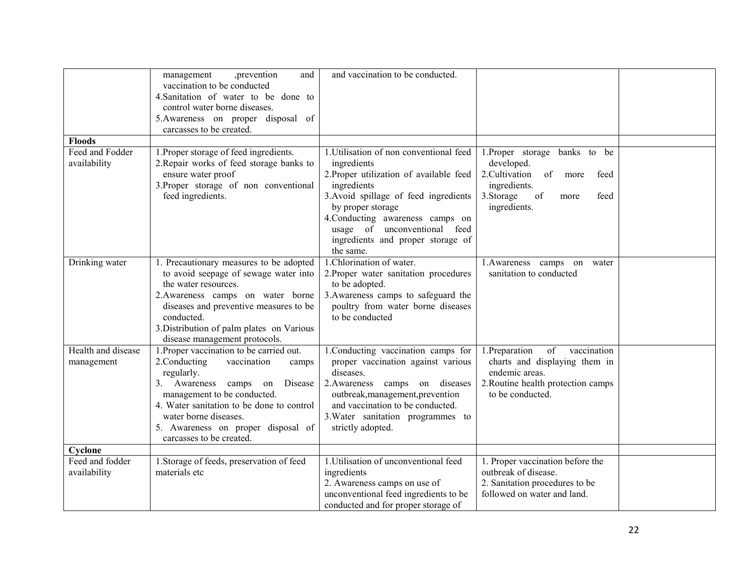|                                  | management<br>,prevention<br>and<br>vaccination to be conducted<br>4. Sanitation of water to be done to<br>control water borne diseases.<br>5. Awareness on proper disposal of<br>carcasses to be created.                                                                                                    | and vaccination to be conducted.                                                                                                                                                                                                                                                        |                                                                                                                                                              |  |
|----------------------------------|---------------------------------------------------------------------------------------------------------------------------------------------------------------------------------------------------------------------------------------------------------------------------------------------------------------|-----------------------------------------------------------------------------------------------------------------------------------------------------------------------------------------------------------------------------------------------------------------------------------------|--------------------------------------------------------------------------------------------------------------------------------------------------------------|--|
| <b>Floods</b>                    |                                                                                                                                                                                                                                                                                                               |                                                                                                                                                                                                                                                                                         |                                                                                                                                                              |  |
| Feed and Fodder<br>availability  | 1. Proper storage of feed ingredients.<br>2. Repair works of feed storage banks to<br>ensure water proof<br>3. Proper storage of non conventional<br>feed ingredients.                                                                                                                                        | 1. Utilisation of non conventional feed<br>ingredients<br>2. Proper utilization of available feed<br>ingredients<br>3. Avoid spillage of feed ingredients<br>by proper storage<br>4. Conducting awareness camps on<br>usage of unconventional feed<br>ingredients and proper storage of | 1.Proper storage<br>banks<br>to be<br>developed.<br>2. Cultivation<br>of<br>more<br>feed<br>ingredients.<br>3. Storage<br>of<br>feed<br>more<br>ingredients. |  |
|                                  |                                                                                                                                                                                                                                                                                                               | the same.                                                                                                                                                                                                                                                                               |                                                                                                                                                              |  |
| Drinking water                   | 1. Precautionary measures to be adopted<br>to avoid seepage of sewage water into<br>the water resources.<br>2. Awareness camps on water borne<br>diseases and preventive measures to be<br>conducted.<br>3. Distribution of palm plates on Various<br>disease management protocols.                           | 1. Chlorination of water.<br>2. Proper water sanitation procedures<br>to be adopted.<br>3. Awareness camps to safeguard the<br>poultry from water borne diseases<br>to be conducted                                                                                                     | 1. Awareness camps on water<br>sanitation to conducted                                                                                                       |  |
| Health and disease<br>management | 1. Proper vaccination to be carried out.<br>2. Conducting<br>vaccination<br>camps<br>regularly.<br>3. Awareness<br>Disease<br>camps on<br>management to be conducted.<br>4. Water sanitation to be done to control<br>water borne diseases.<br>5. Awareness on proper disposal of<br>carcasses to be created. | 1. Conducting vaccination camps for<br>proper vaccination against various<br>diseases.<br>2. Awareness camps on diseases<br>outbreak, management, prevention<br>and vaccination to be conducted.<br>3. Water sanitation programmes to<br>strictly adopted.                              | 1. Preparation<br>of<br>vaccination<br>charts and displaying them in<br>endemic areas.<br>2. Routine health protection camps<br>to be conducted.             |  |
| Cyclone                          |                                                                                                                                                                                                                                                                                                               |                                                                                                                                                                                                                                                                                         |                                                                                                                                                              |  |
| Feed and fodder<br>availability  | 1. Storage of feeds, preservation of feed<br>materials etc                                                                                                                                                                                                                                                    | 1. Utilisation of unconventional feed<br>ingredients<br>2. Awareness camps on use of<br>unconventional feed ingredients to be<br>conducted and for proper storage of                                                                                                                    | 1. Proper vaccination before the<br>outbreak of disease.<br>2. Sanitation procedures to be<br>followed on water and land.                                    |  |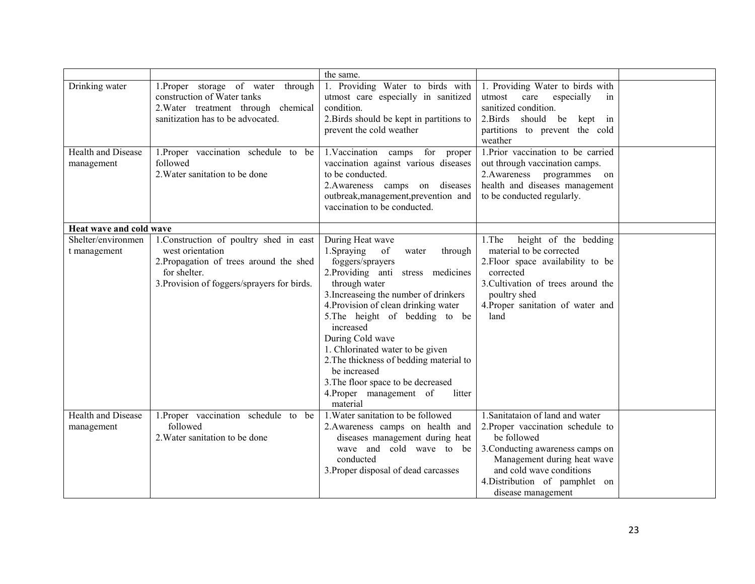|                                         |                                                                                                                                                                       | the same.                                                                                                                                                                                                                                                                                                                                                                                                                                                                     |                                                                                                                                                                                                                                             |  |
|-----------------------------------------|-----------------------------------------------------------------------------------------------------------------------------------------------------------------------|-------------------------------------------------------------------------------------------------------------------------------------------------------------------------------------------------------------------------------------------------------------------------------------------------------------------------------------------------------------------------------------------------------------------------------------------------------------------------------|---------------------------------------------------------------------------------------------------------------------------------------------------------------------------------------------------------------------------------------------|--|
| Drinking water                          | 1. Proper storage of water through<br>construction of Water tanks<br>2. Water treatment through chemical<br>sanitization has to be advocated.                         | 1. Providing Water to birds with<br>utmost care especially in sanitized<br>condition.<br>2. Birds should be kept in partitions to<br>prevent the cold weather                                                                                                                                                                                                                                                                                                                 | 1. Providing Water to birds with<br>especially<br>utmost<br>care<br>in<br>sanitized condition.<br>2. Birds<br>should be<br>kept in<br>partitions to prevent the cold<br>weather                                                             |  |
| Health and Disease<br>management        | 1. Proper vaccination schedule to be<br>followed<br>2. Water sanitation to be done                                                                                    | 1. Vaccination camps for proper<br>vaccination against various diseases<br>to be conducted.<br>2. Awareness camps on diseases<br>outbreak, management, prevention and<br>vaccination to be conducted.                                                                                                                                                                                                                                                                         | 1. Prior vaccination to be carried<br>out through vaccination camps.<br>2. Awareness programmes on<br>health and diseases management<br>to be conducted regularly.                                                                          |  |
| Heat wave and cold wave                 |                                                                                                                                                                       |                                                                                                                                                                                                                                                                                                                                                                                                                                                                               |                                                                                                                                                                                                                                             |  |
| Shelter/environmen<br>t management      | 1. Construction of poultry shed in east<br>west orientation<br>2. Propagation of trees around the shed<br>for shelter.<br>3. Provision of foggers/sprayers for birds. | During Heat wave<br>1.Spraying<br>of<br>through<br>water<br>foggers/sprayers<br>2. Providing anti stress medicines<br>through water<br>3. Increaseing the number of drinkers<br>4. Provision of clean drinking water<br>5. The height of bedding to be<br>increased<br>During Cold wave<br>1. Chlorinated water to be given<br>2. The thickness of bedding material to<br>be increased<br>3. The floor space to be decreased<br>4. Proper management of<br>litter<br>material | height of the bedding<br>1. The<br>material to be corrected<br>2. Floor space availability to be<br>corrected<br>3. Cultivation of trees around the<br>poultry shed<br>4. Proper sanitation of water and<br>land                            |  |
| <b>Health and Disease</b><br>management | 1. Proper vaccination schedule to be<br>followed<br>2. Water sanitation to be done                                                                                    | 1. Water sanitation to be followed<br>2. Awareness camps on health and<br>diseases management during heat<br>wave and cold wave to be<br>conducted<br>3. Proper disposal of dead carcasses                                                                                                                                                                                                                                                                                    | 1. Sanitataion of land and water<br>2. Proper vaccination schedule to<br>be followed<br>3. Conducting awareness camps on<br>Management during heat wave<br>and cold wave conditions<br>4. Distribution of pamphlet on<br>disease management |  |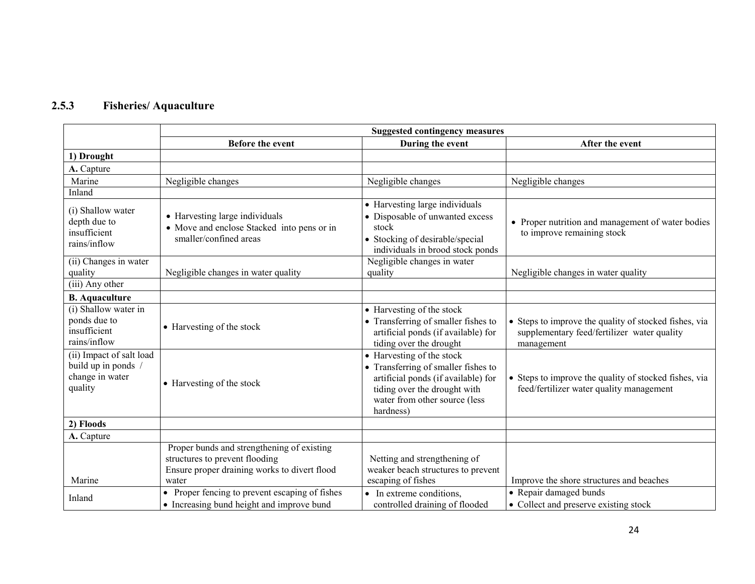#### 2.5.3Fisheries/ Aquaculture

|                                                                             | <b>Suggested contingency measures</b>                                                                                                 |                                                                                                                                                                                       |                                                                                                                    |
|-----------------------------------------------------------------------------|---------------------------------------------------------------------------------------------------------------------------------------|---------------------------------------------------------------------------------------------------------------------------------------------------------------------------------------|--------------------------------------------------------------------------------------------------------------------|
|                                                                             | <b>Before the event</b>                                                                                                               | During the event                                                                                                                                                                      | After the event                                                                                                    |
| 1) Drought                                                                  |                                                                                                                                       |                                                                                                                                                                                       |                                                                                                                    |
| A. Capture                                                                  |                                                                                                                                       |                                                                                                                                                                                       |                                                                                                                    |
| Marine                                                                      | Negligible changes                                                                                                                    | Negligible changes                                                                                                                                                                    | Negligible changes                                                                                                 |
| Inland                                                                      |                                                                                                                                       |                                                                                                                                                                                       |                                                                                                                    |
| (i) Shallow water<br>depth due to<br>insufficient<br>rains/inflow           | • Harvesting large individuals<br>• Move and enclose Stacked into pens or in<br>smaller/confined areas                                | • Harvesting large individuals<br>• Disposable of unwanted excess<br>stock<br>• Stocking of desirable/special<br>individuals in brood stock ponds                                     | • Proper nutrition and management of water bodies<br>to improve remaining stock                                    |
| (ii) Changes in water<br>quality                                            | Negligible changes in water quality                                                                                                   | Negligible changes in water<br>quality                                                                                                                                                | Negligible changes in water quality                                                                                |
| (iii) Any other                                                             |                                                                                                                                       |                                                                                                                                                                                       |                                                                                                                    |
| <b>B.</b> Aquaculture                                                       |                                                                                                                                       |                                                                                                                                                                                       |                                                                                                                    |
| (i) Shallow water in<br>ponds due to<br>insufficient<br>rains/inflow        | • Harvesting of the stock                                                                                                             | • Harvesting of the stock<br>• Transferring of smaller fishes to<br>artificial ponds (if available) for<br>tiding over the drought                                                    | • Steps to improve the quality of stocked fishes, via<br>supplementary feed/fertilizer water quality<br>management |
| (ii) Impact of salt load<br>build up in ponds<br>change in water<br>quality | • Harvesting of the stock                                                                                                             | • Harvesting of the stock<br>• Transferring of smaller fishes to<br>artificial ponds (if available) for<br>tiding over the drought with<br>water from other source (less<br>hardness) | • Steps to improve the quality of stocked fishes, via<br>feed/fertilizer water quality management                  |
| 2) Floods                                                                   |                                                                                                                                       |                                                                                                                                                                                       |                                                                                                                    |
| A. Capture                                                                  |                                                                                                                                       |                                                                                                                                                                                       |                                                                                                                    |
| Marine                                                                      | Proper bunds and strengthening of existing<br>structures to prevent flooding<br>Ensure proper draining works to divert flood<br>water | Netting and strengthening of<br>weaker beach structures to prevent<br>escaping of fishes                                                                                              | Improve the shore structures and beaches                                                                           |
| Inland                                                                      | • Proper fencing to prevent escaping of fishes<br>• Increasing bund height and improve bund                                           | • In extreme conditions,<br>controlled draining of flooded                                                                                                                            | • Repair damaged bunds<br>• Collect and preserve existing stock                                                    |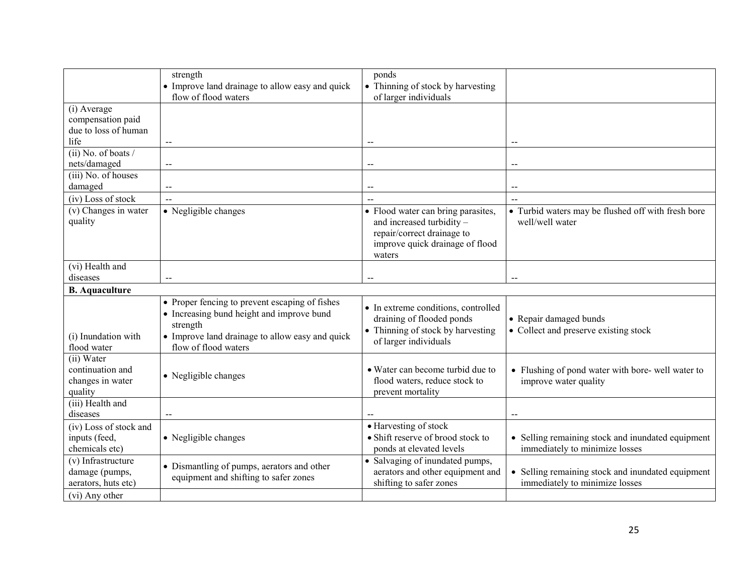|                        | strength                                        | ponds                               |                                                    |
|------------------------|-------------------------------------------------|-------------------------------------|----------------------------------------------------|
|                        | • Improve land drainage to allow easy and quick | • Thinning of stock by harvesting   |                                                    |
|                        | flow of flood waters                            | of larger individuals               |                                                    |
| (i) Average            |                                                 |                                     |                                                    |
| compensation paid      |                                                 |                                     |                                                    |
| due to loss of human   |                                                 |                                     |                                                    |
| life                   | $\overline{a}$                                  | $\overline{a}$                      | $\overline{a}$                                     |
| $(ii)$ No. of boats /  |                                                 |                                     |                                                    |
| nets/damaged           | $-$                                             | $\overline{\phantom{a}}$            | $-$                                                |
| (iii) No. of houses    |                                                 |                                     |                                                    |
| damaged                |                                                 |                                     | $\overline{\phantom{a}}$                           |
| (iv) Loss of stock     | $\overline{\phantom{a}}$                        | $\overline{a}$                      | $\overline{a}$                                     |
| (v) Changes in water   | • Negligible changes                            | • Flood water can bring parasites,  | • Turbid waters may be flushed off with fresh bore |
| quality                |                                                 | and increased turbidity -           | well/well water                                    |
|                        |                                                 | repair/correct drainage to          |                                                    |
|                        |                                                 | improve quick drainage of flood     |                                                    |
|                        |                                                 | waters                              |                                                    |
| (vi) Health and        |                                                 |                                     |                                                    |
| diseases               |                                                 | --                                  | $\overline{a}$                                     |
| <b>B.</b> Aquaculture  |                                                 |                                     |                                                    |
|                        | • Proper fencing to prevent escaping of fishes  |                                     |                                                    |
|                        | • Increasing bund height and improve bund       | • In extreme conditions, controlled |                                                    |
|                        | strength                                        | draining of flooded ponds           | • Repair damaged bunds                             |
| (i) Inundation with    | • Improve land drainage to allow easy and quick | • Thinning of stock by harvesting   | • Collect and preserve existing stock              |
| flood water            | flow of flood waters                            | of larger individuals               |                                                    |
| (ii) Water             |                                                 |                                     |                                                    |
| continuation and       |                                                 | • Water can become turbid due to    | • Flushing of pond water with bore- well water to  |
| changes in water       | • Negligible changes                            | flood waters, reduce stock to       | improve water quality                              |
| quality                |                                                 | prevent mortality                   |                                                    |
| (iii) Health and       |                                                 |                                     |                                                    |
| diseases               |                                                 |                                     | $\overline{a}$                                     |
| (iv) Loss of stock and |                                                 | • Harvesting of stock               |                                                    |
| inputs (feed,          | • Negligible changes                            | • Shift reserve of brood stock to   | • Selling remaining stock and inundated equipment  |
| chemicals etc)         |                                                 | ponds at elevated levels            | immediately to minimize losses                     |
| (v) Infrastructure     |                                                 | • Salvaging of inundated pumps,     |                                                    |
| damage (pumps,         | • Dismantling of pumps, aerators and other      | aerators and other equipment and    | • Selling remaining stock and inundated equipment  |
| aerators, huts etc)    | equipment and shifting to safer zones           | shifting to safer zones             | immediately to minimize losses                     |
| (vi) Any other         |                                                 |                                     |                                                    |
|                        |                                                 |                                     |                                                    |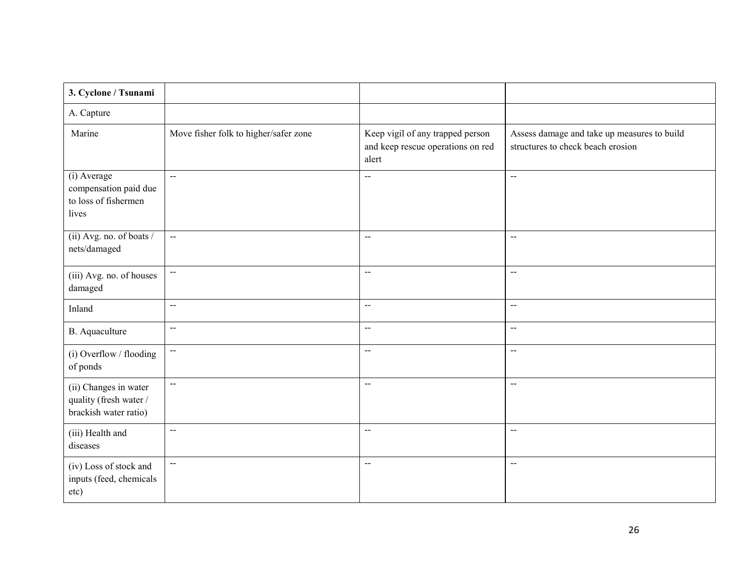| 3. Cyclone / Tsunami                                                     |                                       |                                                                                |                                                                                  |
|--------------------------------------------------------------------------|---------------------------------------|--------------------------------------------------------------------------------|----------------------------------------------------------------------------------|
| A. Capture                                                               |                                       |                                                                                |                                                                                  |
| Marine                                                                   | Move fisher folk to higher/safer zone | Keep vigil of any trapped person<br>and keep rescue operations on red<br>alert | Assess damage and take up measures to build<br>structures to check beach erosion |
| (i) Average<br>compensation paid due<br>to loss of fishermen<br>lives    | $\sim$                                | $\overline{a}$                                                                 | $\mathbf{u}$                                                                     |
| (ii) Avg. no. of boats /<br>nets/damaged                                 | $\sim$                                | $\overline{\phantom{a}}$                                                       | $\overline{\phantom{a}}$                                                         |
| (iii) Avg. no. of houses<br>damaged                                      | $\sim$                                | $\overline{\phantom{a}}$                                                       | $\overline{a}$                                                                   |
| Inland                                                                   | $\sim$                                | $\sim$ $\sim$                                                                  | $\sim$ $\sim$                                                                    |
| <b>B.</b> Aquaculture                                                    | $\sim$                                | $\sim$                                                                         | $\sim$                                                                           |
| (i) Overflow / flooding<br>of ponds                                      | $\sim$                                | $\sim$                                                                         | $\sim$                                                                           |
| (ii) Changes in water<br>quality (fresh water /<br>brackish water ratio) | $\sim$ $\sim$                         | $\sim$ $\sim$                                                                  | $\sim$                                                                           |
| (iii) Health and<br>diseases                                             | $\sim$                                | $\overline{\phantom{a}}$                                                       | $\sim$ $\sim$                                                                    |
| (iv) Loss of stock and<br>inputs (feed, chemicals<br>etc)                | $\sim$                                | $\sim$                                                                         | $\sim$                                                                           |